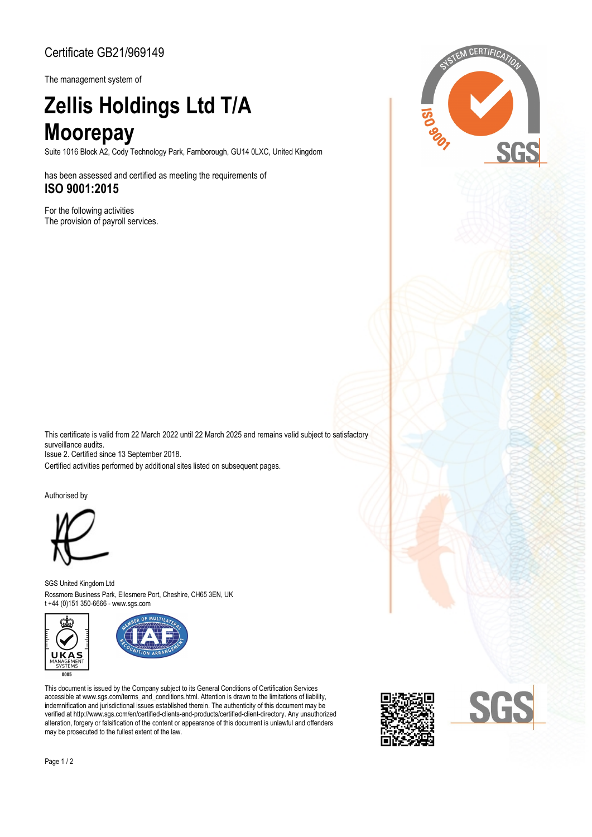## Certificate GB21/969149

The management system of

## **Zellis Holdings Ltd T/A Moorepay**

Suite 1016 Block A2, Cody Technology Park, Farnborough, GU14 0LXC, United Kingdom

has been assessed and certified as meeting the requirements of **ISO 9001:2015**

For the following activities The provision of payroll services.



This certificate is valid from 22 March 2022 until 22 March 2025 and remains valid subject to satisfactory surveillance audits.

Issue 2. Certified since 13 September 2018.

Certified activities performed by additional sites listed on subsequent pages.

Authorised by



Rossmore Business Park, Ellesmere Port, Cheshire, CH65 3EN, UK SGS United Kingdom Ltd t +44 (0)151 350-6666 - www.sgs.com





This document is issued by the Company subject to its General Conditions of Certification Services accessible at www.sgs.com/terms\_and\_conditions.html. Attention is drawn to the limitations of liability, indemnification and jurisdictional issues established therein. The authenticity of this document may be verified at http://www.sgs.com/en/certified-clients-and-products/certified-client-directory. Any unauthorized alteration, forgery or falsification of the content or appearance of this document is unlawful and offenders may be prosecuted to the fullest extent of the law.